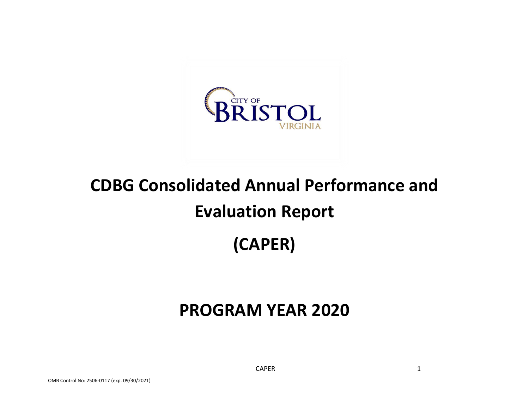

# **CDBG Consolidated Annual Performance and Evaluation Report (CAPER)**

# **PROGRAM YEAR 2020**

CAPER 1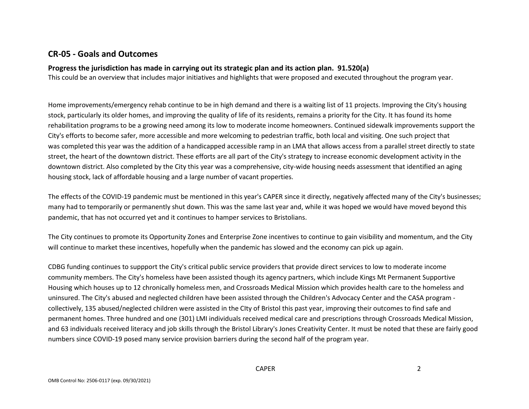## **CR-05 - Goals and Outcomes**

#### **Progress the jurisdiction has made in carrying out its strategic plan and its action plan. 91.520(a)**

This could be an overview that includes major initiatives and highlights that were proposed and executed throughout the program year.

Home improvements/emergency rehab continue to be in high demand and there is a waiting list of 11 projects. Improving the City's housing stock, particularly its older homes, and improving the quality of life of its residents, remains a priority for the City. It has found its home rehabilitation programs to be a growing need among its low to moderate income homeowners. Continued sidewalk improvements support the City's efforts to become safer, more accessible and more welcoming to pedestrian traffic, both local and visiting. One such project that was completed this year was the addition of a handicapped accessible ramp in an LMA that allows access from a parallel street directly to state street, the heart of the downtown district. These efforts are all part of the City's strategy to increase economic development activity in the downtown district. Also completed by the City this year was a comprehensive, city-wide housing needs assessment that identified an aging housing stock, lack of affordable housing and a large number of vacant properties.

The effects of the COVID-19 pandemic must be mentioned in this year's CAPER since it directly, negatively affected many of the City's businesses; many had to temporarily or permanently shut down. This was the same last year and, while it was hoped we would have moved beyond this pandemic, that has not occurred yet and it continues to hamper services to Bristolians.

The City continues to promote its Opportunity Zones and Enterprise Zone incentives to continue to gain visibility and momentum, and the City will continue to market these incentives, hopefully when the pandemic has slowed and the economy can pick up again.

CDBG funding continues to suppport the City's critical public service providers that provide direct services to low to moderate income community members. The City's homeless have been assisted though its agency partners, which include Kings Mt Permanent Supportive Housing which houses up to 12 chronically homeless men, and Crossroads Medical Mission which provides health care to the homeless and uninsured. The City's abused and neglected children have been assisted through the Children's Advocacy Center and the CASA program collectively, 135 abused/neglected children were assisted in the CIty of Bristol this past year, improving their outcomes to find safe and permanent homes. Three hundred and one (301) LMI individuals received medical care and prescriptions through Crossroads Medical Mission, and 63 individuals received literacy and job skills through the Bristol Library's Jones Creativity Center. It must be noted that these are fairly good numbers since COVID-19 posed many service provision barriers during the second half of the program year.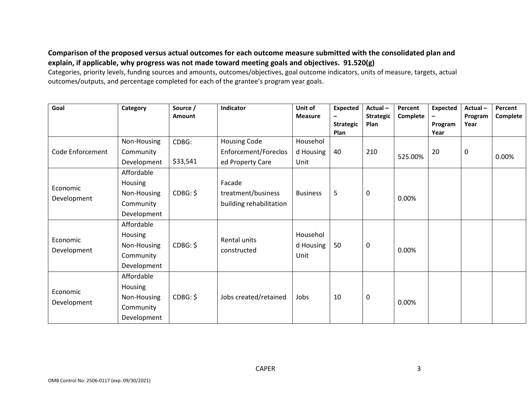### **Comparison of the proposed versus actual outcomes for each outcome measure submitted with the consolidated plan and explain, if applicable, why progress was not made toward meeting goals and objectives. 91.520(g)**

Categories, priority levels, funding sources and amounts, outcomes/objectives, goal outcome indicators, units of measure, targets, actual outcomes/outputs, and percentage completed for each of the grantee's program year goals.

| Goal                    | Category                                                         | Source /<br><b>Amount</b> | Indicator                                               | Unit of<br><b>Measure</b>     | <b>Expected</b><br>-<br><b>Strategic</b><br>Plan | Actual-<br><b>Strategic</b><br>Plan | Percent<br>Complete | <b>Expected</b><br>$\qquad \qquad -$<br>Program<br>Year | Actual-<br>Program<br>Year | Percent<br>Complete |
|-------------------------|------------------------------------------------------------------|---------------------------|---------------------------------------------------------|-------------------------------|--------------------------------------------------|-------------------------------------|---------------------|---------------------------------------------------------|----------------------------|---------------------|
|                         | Non-Housing                                                      | CDBG:                     | <b>Housing Code</b>                                     | Househol                      |                                                  |                                     |                     |                                                         |                            |                     |
| Code Enforcement        | Community<br>Development                                         | \$33,541                  | Enforcement/Foreclos<br>ed Property Care                | d Housing<br>Unit             | 40                                               | 210                                 | 525.00%             | 20                                                      | 0                          | 0.00%               |
| Economic<br>Development | Affordable<br>Housing<br>Non-Housing<br>Community<br>Development | CDBG: \$                  | Facade<br>treatment/business<br>building rehabilitation | <b>Business</b>               | 5                                                | 0                                   | 0.00%               |                                                         |                            |                     |
| Economic<br>Development | Affordable<br>Housing<br>Non-Housing<br>Community<br>Development | CDBG: \$                  | Rental units<br>constructed                             | Househol<br>d Housing<br>Unit | 50                                               | 0                                   | 0.00%               |                                                         |                            |                     |
| Economic<br>Development | Affordable<br>Housing<br>Non-Housing<br>Community<br>Development | CDBG: \$                  | Jobs created/retained                                   | Jobs                          | 10                                               | 0                                   | 0.00%               |                                                         |                            |                     |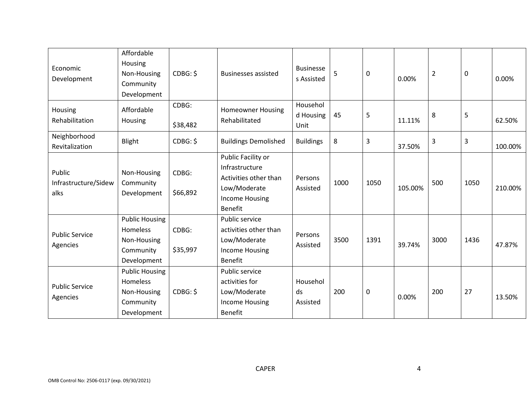| Economic<br>Development                | Affordable<br>Housing<br>Non-Housing<br>Community<br>Development             | CDBG: \$          | <b>Businesses assisted</b>                                                                                               | <b>Businesse</b><br>s Assisted | 5    | 0    | 0.00%   | $\overline{2}$ | $\mathbf 0$ | 0.00%   |
|----------------------------------------|------------------------------------------------------------------------------|-------------------|--------------------------------------------------------------------------------------------------------------------------|--------------------------------|------|------|---------|----------------|-------------|---------|
| Housing<br>Rehabilitation              | Affordable<br>Housing                                                        | CDBG:<br>\$38,482 | <b>Homeowner Housing</b><br>Rehabilitated                                                                                | Househol<br>d Housing<br>Unit  | 45   | 5    | 11.11%  | 8              | 5           | 62.50%  |
| Neighborhood<br>Revitalization         | Blight                                                                       | CDBG: \$          | <b>Buildings Demolished</b>                                                                                              | <b>Buildings</b>               | 8    | 3    | 37.50%  | 3              | 3           | 100.00% |
| Public<br>Infrastructure/Sidew<br>alks | Non-Housing<br>Community<br>Development                                      | CDBG:<br>\$66,892 | Public Facility or<br>Infrastructure<br>Activities other than<br>Low/Moderate<br><b>Income Housing</b><br><b>Benefit</b> | Persons<br>Assisted            | 1000 | 1050 | 105.00% | 500            | 1050        | 210.00% |
| <b>Public Service</b><br>Agencies      | <b>Public Housing</b><br>Homeless<br>Non-Housing<br>Community<br>Development | CDBG:<br>\$35,997 | Public service<br>activities other than<br>Low/Moderate<br>Income Housing<br><b>Benefit</b>                              | Persons<br>Assisted            | 3500 | 1391 | 39.74%  | 3000           | 1436        | 47.87%  |
| <b>Public Service</b><br>Agencies      | <b>Public Housing</b><br>Homeless<br>Non-Housing<br>Community<br>Development | CDBG: \$          | Public service<br>activities for<br>Low/Moderate<br><b>Income Housing</b><br><b>Benefit</b>                              | Househol<br>ds<br>Assisted     | 200  | 0    | 0.00%   | 200            | 27          | 13.50%  |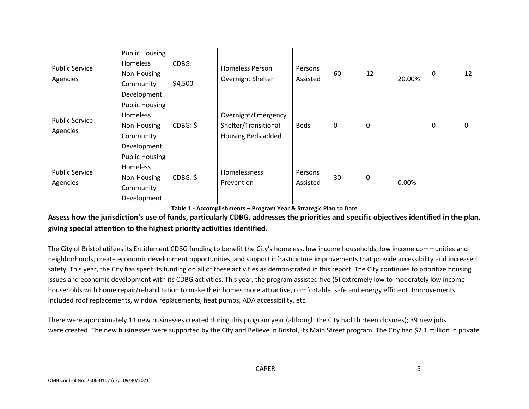| <b>Public Service</b><br>Agencies | <b>Public Housing</b><br>Homeless<br>Non-Housing<br>Community<br>Development | CDBG:<br>\$4,500 | <b>Homeless Person</b><br>Overnight Shelter                       | Persons<br>Assisted | 60 | 12 | 20.00%   | 0                | 12 |  |
|-----------------------------------|------------------------------------------------------------------------------|------------------|-------------------------------------------------------------------|---------------------|----|----|----------|------------------|----|--|
| <b>Public Service</b><br>Agencies | <b>Public Housing</b><br>Homeless<br>Non-Housing<br>Community<br>Development | CDBG: \$         | Overnight/Emergency<br>Shelter/Transitional<br>Housing Beds added | <b>Beds</b>         | 0  | 0  |          | $\boldsymbol{0}$ | 0  |  |
| <b>Public Service</b><br>Agencies | <b>Public Housing</b><br>Homeless<br>Non-Housing<br>Community<br>Development | CDBG: \$         | Homelessness<br>Prevention                                        | Persons<br>Assisted | 30 | 0  | $0.00\%$ |                  |    |  |

**Table 1 - Accomplishments – Program Year & Strategic Plan to Date**

# **Assess how the jurisdiction's use of funds, particularly CDBG, addresses the priorities and specific objectives identified in the plan, giving special attention to the highest priority activities identified.**

The City of Bristol utilizes its Entitlement CDBG funding to benefit the City's homeless, low income households, low income communities and neighborhoods, create economic development opportunities, and support infrastructure improvements that provide accessibility and increased safety. This year, the City has spent its funding on all of these activities as demonstrated in this report. The City continues to prioritize housing issues and economic development with its CDBG activities. This year, the program assisted five (5) extremely low to moderately low income households with home repair/rehabilitation to make their homes more attractive, comfortable, safe and energy efficient. Improvements included roof replacements, window replacements, heat pumps, ADA accessibility, etc.

There were approximately 11 new businesses created during this program year (although the City had thirteen closures); 39 new jobs were created. The new businesses were supported by the City and Believe in Bristol, its Main Street program. The City had \$2.1 million in private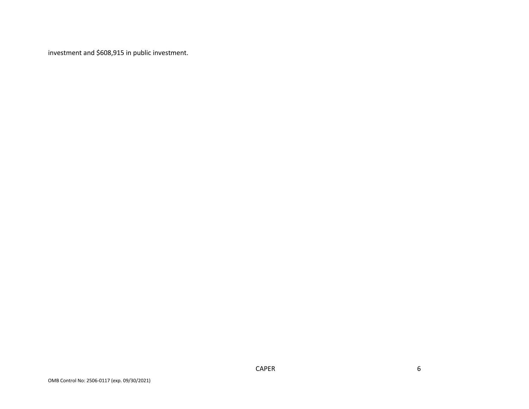investment and \$608,915 in public investment.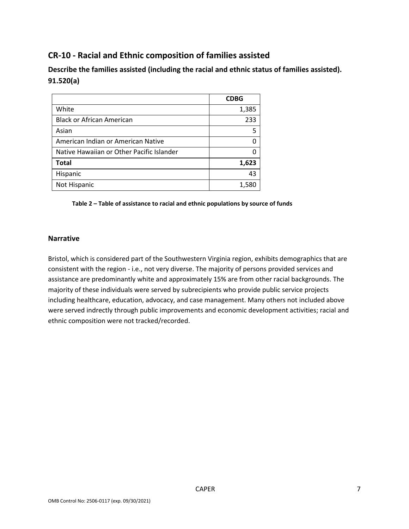# **CR-10 - Racial and Ethnic composition of families assisted**

**Describe the families assisted (including the racial and ethnic status of families assisted). 91.520(a)** 

|                                           | <b>CDBG</b> |
|-------------------------------------------|-------------|
| White                                     | 1,385       |
| <b>Black or African American</b>          | 233         |
| Asian                                     |             |
| American Indian or American Native        |             |
| Native Hawaiian or Other Pacific Islander |             |
| <b>Total</b>                              | 1,623       |
| Hispanic                                  | 43          |
| Not Hispanic                              | 1,580       |

**Table 2 – Table of assistance to racial and ethnic populations by source of funds**

#### **Narrative**

Bristol, which is considered part of the Southwestern Virginia region, exhibits demographics that are consistent with the region - i.e., not very diverse. The majority of persons provided services and assistance are predominantly white and approximately 15% are from other racial backgrounds. The majority of these individuals were served by subrecipients who provide public service projects including healthcare, education, advocacy, and case management. Many others not included above were served indrectly through public improvements and economic development activities; racial and ethnic composition were not tracked/recorded.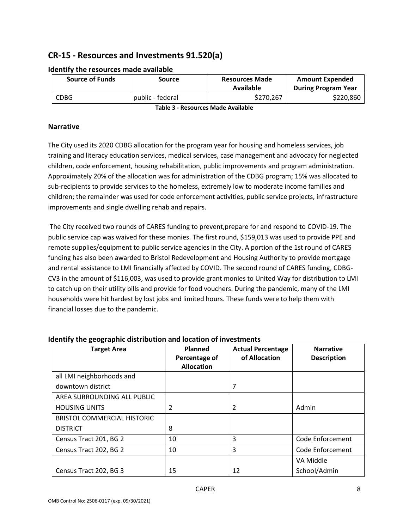# **CR-15 - Resources and Investments 91.520(a)**

| <b>Source of Funds</b> | Source           | <b>Resources Made</b><br>Available | <b>Amount Expended</b><br><b>During Program Year</b> |
|------------------------|------------------|------------------------------------|------------------------------------------------------|
| <b>CDBG</b>            | public - federal | \$270.267                          | \$220,860                                            |

#### **Identify the resources made available**

**Table 3 - Resources Made Available**

#### **Narrative**

The City used its 2020 CDBG allocation for the program year for housing and homeless services, job training and literacy education services, medical services, case management and advocacy for neglected children, code enforcement, housing rehabilitation, public improvements and program administration. Approximately 20% of the allocation was for administration of the CDBG program; 15% was allocated to sub-recipients to provide services to the homeless, extremely low to moderate income families and children; the remainder was used for code enforcement activities, public service projects, infrastructure improvements and single dwelling rehab and repairs.

The City received two rounds of CARES funding to prevent,prepare for and respond to COVID-19. The public service cap was waived for these monies. The first round, \$159,013 was used to provide PPE and remote supplies/equipment to public service agencies in the City. A portion of the 1st round of CARES funding has also been awarded to Bristol Redevelopment and Housing Authority to provide mortgage and rental assistance to LMI financially affected by COVID. The second round of CARES funding, CDBG-CV3 in the amount of \$116,003, was used to provide grant monies to United Way for distribution to LMI to catch up on their utility bills and provide for food vouchers. During the pandemic, many of the LMI households were hit hardest by lost jobs and limited hours. These funds were to help them with financial losses due to the pandemic.

| <b>Target Area</b>                 | Planned<br>Percentage of<br><b>Allocation</b> | <b>Actual Percentage</b><br>of Allocation | <b>Narrative</b><br><b>Description</b> |
|------------------------------------|-----------------------------------------------|-------------------------------------------|----------------------------------------|
| all LMI neighborhoods and          |                                               |                                           |                                        |
| downtown district                  |                                               | 7                                         |                                        |
| AREA SURROUNDING ALL PUBLIC        |                                               |                                           |                                        |
| <b>HOUSING UNITS</b>               | 2                                             | $\mathcal{P}$                             | Admin                                  |
| <b>BRISTOL COMMERCIAL HISTORIC</b> |                                               |                                           |                                        |
| <b>DISTRICT</b>                    | 8                                             |                                           |                                        |
| Census Tract 201, BG 2             | 10                                            | 3                                         | Code Enforcement                       |
| Census Tract 202, BG 2             | 10                                            | 3                                         | Code Enforcement                       |
|                                    |                                               |                                           | VA Middle                              |
| Census Tract 202, BG 3             | 15                                            | 12                                        | School/Admin                           |

#### **Identify the geographic distribution and location of investments**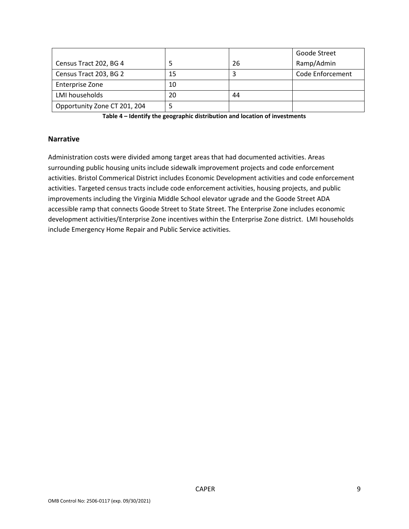|                              |    |    | Goode Street     |
|------------------------------|----|----|------------------|
| Census Tract 202, BG 4       |    | 26 | Ramp/Admin       |
| Census Tract 203, BG 2       | 15 |    | Code Enforcement |
| Enterprise Zone              | 10 |    |                  |
| LMI households               | 20 | 44 |                  |
| Opportunity Zone CT 201, 204 |    |    |                  |

**Table 4 – Identify the geographic distribution and location of investments**

#### **Narrative**

Administration costs were divided among target areas that had documented activities. Areas surrounding public housing units include sidewalk improvement projects and code enforcement activities. Bristol Commerical District includes Economic Development activities and code enforcement activities. Targeted census tracts include code enforcement activities, housing projects, and public improvements including the Virginia Middle School elevator ugrade and the Goode Street ADA accessible ramp that connects Goode Street to State Street. The Enterprise Zone includes economic development activities/Enterprise Zone incentives within the Enterprise Zone district. LMI households include Emergency Home Repair and Public Service activities.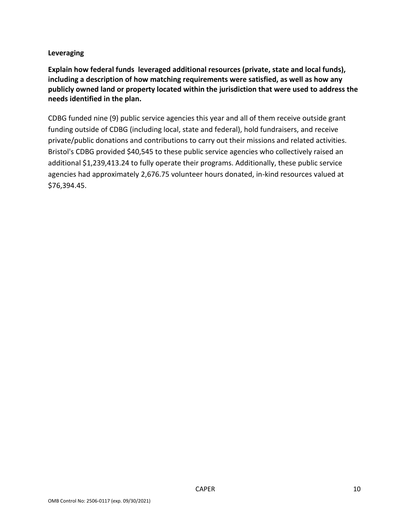#### **Leveraging**

**Explain how federal funds leveraged additional resources (private, state and local funds), including a description of how matching requirements were satisfied, as well as how any publicly owned land or property located within the jurisdiction that were used to address the needs identified in the plan.**

CDBG funded nine (9) public service agencies this year and all of them receive outside grant funding outside of CDBG (including local, state and federal), hold fundraisers, and receive private/public donations and contributions to carry out their missions and related activities. Bristol's CDBG provided \$40,545 to these public service agencies who collectively raised an additional \$1,239,413.24 to fully operate their programs. Additionally, these public service agencies had approximately 2,676.75 volunteer hours donated, in-kind resources valued at \$76,394.45.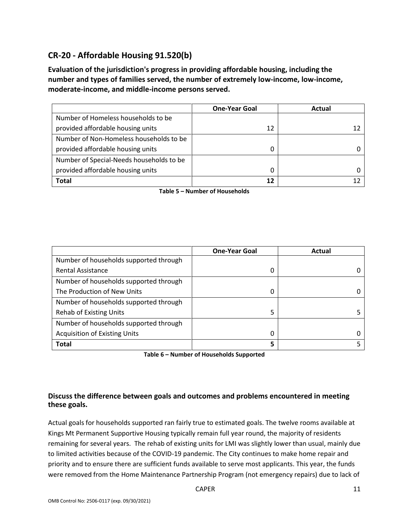# **CR-20 - Affordable Housing 91.520(b)**

**Evaluation of the jurisdiction's progress in providing affordable housing, including the number and types of families served, the number of extremely low-income, low-income, moderate-income, and middle-income persons served.**

|                                          | <b>One-Year Goal</b> | Actual |
|------------------------------------------|----------------------|--------|
| Number of Homeless households to be      |                      |        |
| provided affordable housing units        | 12                   |        |
| Number of Non-Homeless households to be  |                      |        |
| provided affordable housing units        | 0                    |        |
| Number of Special-Needs households to be |                      |        |
| provided affordable housing units        | 0                    |        |
| <b>Total</b>                             | 12                   |        |

**Table 5 – Number of Households**

|                                        | <b>One-Year Goal</b> | Actual |
|----------------------------------------|----------------------|--------|
| Number of households supported through |                      |        |
| <b>Rental Assistance</b>               | 0                    |        |
| Number of households supported through |                      |        |
| The Production of New Units            | 0                    |        |
| Number of households supported through |                      |        |
| <b>Rehab of Existing Units</b>         | 5                    |        |
| Number of households supported through |                      |        |
| <b>Acquisition of Existing Units</b>   | 0                    |        |
| <b>Total</b>                           | 5                    |        |

**Table 6 – Number of Households Supported**

#### **Discuss the difference between goals and outcomes and problems encountered in meeting these goals.**

Actual goals for households supported ran fairly true to estimated goals. The twelve rooms available at Kings Mt Permanent Supportive Housing typically remain full year round, the majority of residents remaining for several years. The rehab of existing units for LMI was slightly lower than usual, mainly due to limited activities because of the COVID-19 pandemic. The City continues to make home repair and priority and to ensure there are sufficient funds available to serve most applicants. This year, the funds were removed from the Home Maintenance Partnership Program (not emergency repairs) due to lack of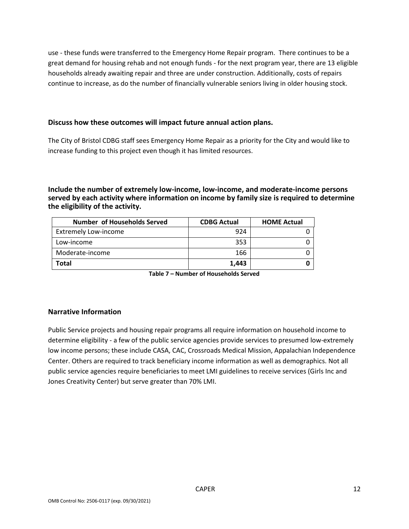use - these funds were transferred to the Emergency Home Repair program. There continues to be a great demand for housing rehab and not enough funds - for the next program year, there are 13 eligible households already awaiting repair and three are under construction. Additionally, costs of repairs continue to increase, as do the number of financially vulnerable seniors living in older housing stock.

#### **Discuss how these outcomes will impact future annual action plans.**

The City of Bristol CDBG staff sees Emergency Home Repair as a priority for the City and would like to increase funding to this project even though it has limited resources.

**Include the number of extremely low-income, low-income, and moderate-income persons served by each activity where information on income by family size is required to determine the eligibility of the activity.**

| Number of Households Served | <b>CDBG Actual</b> | <b>HOME Actual</b> |
|-----------------------------|--------------------|--------------------|
| <b>Extremely Low-income</b> | 924                |                    |
| Low-income                  | 353                |                    |
| Moderate-income             | 166                |                    |
| <b>Total</b>                | 1,443              |                    |

**Table 7 – Number of Households Served**

#### **Narrative Information**

Public Service projects and housing repair programs all require information on household income to determine eligibility - a few of the public service agencies provide services to presumed low-extremely low income persons; these include CASA, CAC, Crossroads Medical Mission, Appalachian Independence Center. Others are required to track beneficiary income information as well as demographics. Not all public service agencies require beneficiaries to meet LMI guidelines to receive services (Girls Inc and Jones Creativity Center) but serve greater than 70% LMI.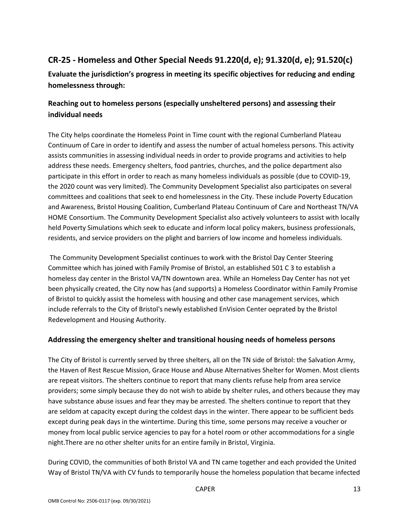# **CR-25 - Homeless and Other Special Needs 91.220(d, e); 91.320(d, e); 91.520(c)**

**Evaluate the jurisdiction's progress in meeting its specific objectives for reducing and ending homelessness through:**

# **Reaching out to homeless persons (especially unsheltered persons) and assessing their individual needs**

The City helps coordinate the Homeless Point in Time count with the regional Cumberland Plateau Continuum of Care in order to identify and assess the number of actual homeless persons. This activity assists communities in assessing individual needs in order to provide programs and activities to help address these needs. Emergency shelters, food pantries, churches, and the police department also participate in this effort in order to reach as many homeless individuals as possible (due to COVID-19, the 2020 count was very limited). The Community Development Specialist also participates on several committees and coalitions that seek to end homelessness in the City. These include Poverty Education and Awareness, Bristol Housing Coalition, Cumberland Plateau Continuum of Care and Northeast TN/VA HOME Consortium. The Community Development Specialist also actively volunteers to assist with locally held Poverty Simulations which seek to educate and inform local policy makers, business professionals, residents, and service providers on the plight and barriers of low income and homeless individuals.

The Community Development Specialist continues to work with the Bristol Day Center Steering Committee which has joined with Family Promise of Bristol, an established 501 C 3 to establish a homeless day center in the Bristol VA/TN downtown area. While an Homeless Day Center has not yet been physically created, the City now has (and supports) a Homeless Coordinator within Family Promise of Bristol to quickly assist the homeless with housing and other case management services, which include referrals to the City of Bristol's newly established EnVision Center oeprated by the Bristol Redevelopment and Housing Authority.

#### **Addressing the emergency shelter and transitional housing needs of homeless persons**

The City of Bristol is currently served by three shelters, all on the TN side of Bristol: the Salvation Army, the Haven of Rest Rescue Mission, Grace House and Abuse Alternatives Shelter for Women. Most clients are repeat visitors. The shelters continue to report that many clients refuse help from area service providers; some simply because they do not wish to abide by shelter rules, and others because they may have substance abuse issues and fear they may be arrested. The shelters continue to report that they are seldom at capacity except during the coldest days in the winter. There appear to be sufficient beds except during peak days in the wintertime. During this time, some persons may receive a voucher or money from local public service agencies to pay for a hotel room or other accommodations for a single night.There are no other shelter units for an entire family in Bristol, Virginia.

During COVID, the communities of both Bristol VA and TN came together and each provided the United Way of Bristol TN/VA with CV funds to temporarily house the homeless population that became infected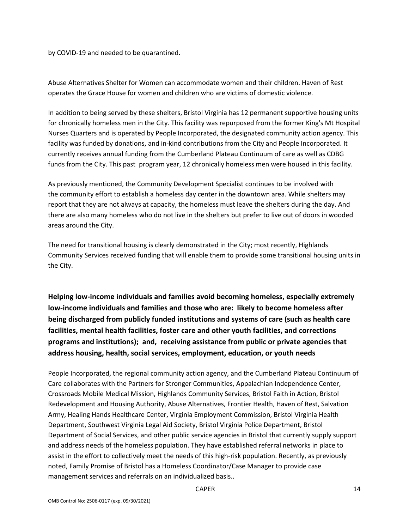by COVID-19 and needed to be quarantined.

Abuse Alternatives Shelter for Women can accommodate women and their children. Haven of Rest operates the Grace House for women and children who are victims of domestic violence.

In addition to being served by these shelters, Bristol Virginia has 12 permanent supportive housing units for chronically homeless men in the City. This facility was repurposed from the former King's Mt Hospital Nurses Quarters and is operated by People Incorporated, the designated community action agency. This facility was funded by donations, and in-kind contributions from the City and People Incorporated. It currently receives annual funding from the Cumberland Plateau Continuum of care as well as CDBG funds from the City. This past program year, 12 chronically homeless men were housed in this facility.

As previously mentioned, the Community Development Specialist continues to be involved with the community effort to establish a homeless day center in the downtown area. While shelters may report that they are not always at capacity, the homeless must leave the shelters during the day. And there are also many homeless who do not live in the shelters but prefer to live out of doors in wooded areas around the City.

The need for transitional housing is clearly demonstrated in the City; most recently, Highlands Community Services received funding that will enable them to provide some transitional housing units in the City.

**Helping low-income individuals and families avoid becoming homeless, especially extremely low-income individuals and families and those who are: likely to become homeless after being discharged from publicly funded institutions and systems of care (such as health care facilities, mental health facilities, foster care and other youth facilities, and corrections programs and institutions); and, receiving assistance from public or private agencies that address housing, health, social services, employment, education, or youth needs**

People Incorporated, the regional community action agency, and the Cumberland Plateau Continuum of Care collaborates with the Partners for Stronger Communities, Appalachian Independence Center, Crossroads Mobile Medical Mission, Highlands Community Services, Bristol Faith in Action, Bristol Redevelopment and Housing Authority, Abuse Alternatives, Frontier Health, Haven of Rest, Salvation Army, Healing Hands Healthcare Center, Virginia Employment Commission, Bristol Virginia Health Department, Southwest Virginia Legal Aid Society, Bristol Virginia Police Department, Bristol Department of Social Services, and other public service agencies in Bristol that currently supply support and address needs of the homeless population. They have established referral networks in place to assist in the effort to collectively meet the needs of this high-risk population. Recently, as previously noted, Family Promise of Bristol has a Homeless Coordinator/Case Manager to provide case management services and referrals on an individualized basis..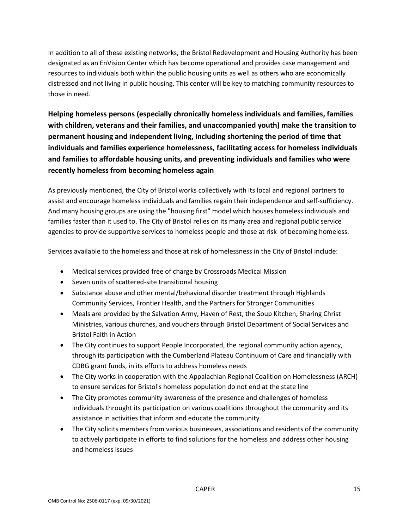In addition to all of these existing networks, the Bristol Redevelopment and Housing Authority has been designated as an EnVision Center which has become operational and provides case management and resources to individuals both within the public housing units as well as others who are economically distressed and not living in public housing. This center will be key to matching community resources to those in need.

**Helping homeless persons (especially chronically homeless individuals and families, families with children, veterans and their families, and unaccompanied youth) make the transition to permanent housing and independent living, including shortening the period of time that individuals and families experience homelessness, facilitating access for homeless individuals and families to affordable housing units, and preventing individuals and families who were recently homeless from becoming homeless again**

As previously mentioned, the City of Bristol works collectively with its local and regional partners to assist and encourage homeless individuals and families regain their independence and self-sufficiency. And many housing groups are using the "housing first" model which houses homeless individuals and families faster than it used to. The City of Bristol relies on its many area and regional public service agencies to provide supportive services to homeless people and those at risk of becoming homeless.

Services available to the homeless and those at risk of homelessness in the City of Bristol include:

- Medical services provided free of charge by Crossroads Medical Mission
- Seven units of scattered-site transitional housing
- Substance abuse and other mental/behavioral disorder treatment through Highlands Community Services, Frontier Health, and the Partners for Stronger Communities
- Meals are provided by the Salvation Army, Haven of Rest, the Soup Kitchen, Sharing Christ Ministries, various churches, and vouchers through Bristol Department of Social Services and Bristol Faith in Action
- The City continues to support People Incorporated, the regional community action agency, through its participation with the Cumberland Plateau Continuum of Care and financially with CDBG grant funds, in its efforts to address homeless needs
- The City works in cooperation with the Appalachian Regional Coalition on Homelessness (ARCH) to ensure services for Bristol's homeless population do not end at the state line
- The City promotes community awareness of the presence and challenges of homeless individuals throught its participation on various coalitions throughout the community and its assistance in activities that inform and educate the community
- The City solicits members from various businesses, associations and residents of the community to actively participate in efforts to find solutions for the homeless and address other housing and homeless issues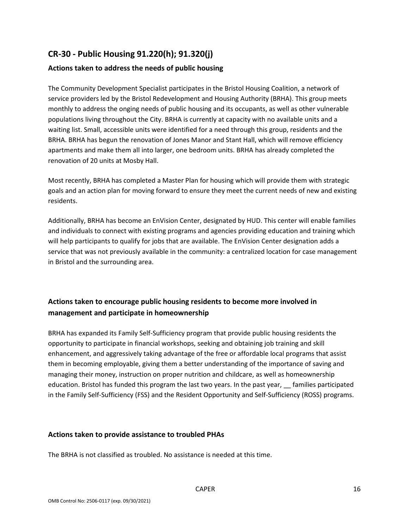# **CR-30 - Public Housing 91.220(h); 91.320(j)**

#### **Actions taken to address the needs of public housing**

The Community Development Specialist participates in the Bristol Housing Coalition, a network of service providers led by the Bristol Redevelopment and Housing Authority (BRHA). This group meets monthly to address the onging needs of public housing and its occupants, as well as other vulnerable populations living throughout the City. BRHA is currently at capacity with no available units and a waiting list. Small, accessible units were identified for a need through this group, residents and the BRHA. BRHA has begun the renovation of Jones Manor and Stant Hall, which will remove efficiency apartments and make them all into larger, one bedroom units. BRHA has already completed the renovation of 20 units at Mosby Hall.

Most recently, BRHA has completed a Master Plan for housing which will provide them with strategic goals and an action plan for moving forward to ensure they meet the current needs of new and existing residents.

Additionally, BRHA has become an EnVision Center, designated by HUD. This center will enable families and individuals to connect with existing programs and agencies providing education and training which will help participants to qualify for jobs that are available. The EnVision Center designation adds a service that was not previously available in the community: a centralized location for case management in Bristol and the surrounding area.

# **Actions taken to encourage public housing residents to become more involved in management and participate in homeownership**

BRHA has expanded its Family Self-Sufficiency program that provide public housing residents the opportunity to participate in financial workshops, seeking and obtaining job training and skill enhancement, and aggressively taking advantage of the free or affordable local programs that assist them in becoming employable, giving them a better understanding of the importance of saving and managing their money, instruction on proper nutrition and childcare, as well as homeownership education. Bristol has funded this program the last two years. In the past year, \_\_ families participated in the Family Self-Sufficiency (FSS) and the Resident Opportunity and Self-Sufficiency (ROSS) programs.

#### **Actions taken to provide assistance to troubled PHAs**

The BRHA is not classified as troubled. No assistance is needed at this time.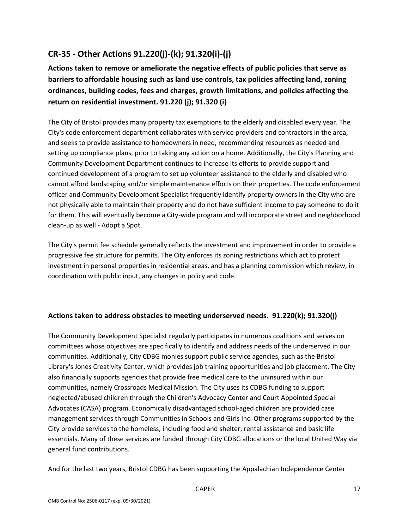# **CR-35 - Other Actions 91.220(j)-(k); 91.320(i)-(j)**

**Actions taken to remove or ameliorate the negative effects of public policies that serve as barriers to affordable housing such as land use controls, tax policies affecting land, zoning ordinances, building codes, fees and charges, growth limitations, and policies affecting the return on residential investment. 91.220 (j); 91.320 (i)**

The City of Bristol provides many property tax exemptions to the elderly and disabled every year. The City's code enforcement department collaborates with service providers and contractors in the area, and seeks to provide assistance to homeowners in need, recommending resources as needed and setting up compliance plans, prior to taking any action on a home. Additionally, the City's Planning and Community Development Department continues to increase its efforts to provide support and continued development of a program to set up volunteer assistance to the elderly and disabled who cannot afford landscaping and/or simple maintenance efforts on their properties. The code enforcement officer and Community Development Specialist frequently identify property owners in the City who are not physically able to maintain their property and do not have sufficient income to pay someone to do it for them. This will eventually become a City-wide program and will incorporate street and neighborhood clean-up as well - Adopt a Spot.

The City's permit fee schedule generally reflects the investment and improvement in order to provide a progressive fee structure for permits. The City enforces its zoning restrictions which act to protect investment in personal properties in residential areas, and has a planning commission which review, in coordination with public input, any changes in policy and code.

#### **Actions taken to address obstacles to meeting underserved needs. 91.220(k); 91.320(j)**

The Community Development Specialist regularly participates in numerous coalitions and serves on committees whose objectives are specifically to identify and address needs of the underserved in our communities. Additionally, City CDBG monies support public service agencies, such as the Bristol Library's Jones Creativity Center, which provides job training opportunities and job placement. The City also financially supports agencies that provide free medical care to the uninsured within our communities, namely Crossroads Medical Mission. The City uses its CDBG funding to support neglected/abused children through the Children's Advocacy Center and Court Appointed Special Advocates (CASA) program. Economically disadvantaged school-aged children are provided case management services through Communities in Schools and Girls Inc. Other programs supported by the City provide services to the homeless, including food and shelter, rental assistance and basic life essentials. Many of these services are funded through City CDBG allocations or the local United Way via general fund contributions.

And for the last two years, Bristol CDBG has been supporting the Appalachian Independence Center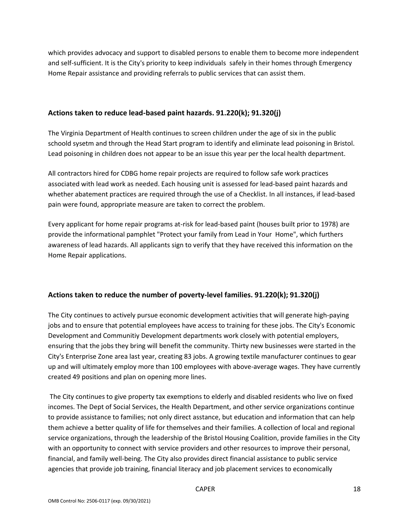which provides advocacy and support to disabled persons to enable them to become more independent and self-sufficient. It is the City's priority to keep individuals safely in their homes through Emergency Home Repair assistance and providing referrals to public services that can assist them.

#### **Actions taken to reduce lead-based paint hazards. 91.220(k); 91.320(j)**

The Virginia Department of Health continues to screen children under the age of six in the public schoold sysetm and through the Head Start program to identify and eliminate lead poisoning in Bristol. Lead poisoning in children does not appear to be an issue this year per the local health department.

All contractors hired for CDBG home repair projects are required to follow safe work practices associated with lead work as needed. Each housing unit is assessed for lead-based paint hazards and whether abatement practices are required through the use of a Checklist. In all instances, if lead-based pain were found, appropriate measure are taken to correct the problem.

Every applicant for home repair programs at-risk for lead-based paint (houses built prior to 1978) are provide the informational pamphlet "Protect your family from Lead in Your Home", which furthers awareness of lead hazards. All applicants sign to verify that they have received this information on the Home Repair applications.

#### **Actions taken to reduce the number of poverty-level families. 91.220(k); 91.320(j)**

The City continues to actively pursue economic development activities that will generate high-paying jobs and to ensure that potential employees have access to training for these jobs. The City's Economic Development and Communitiy Development departments work closely with potential employers, ensuring that the jobs they bring will benefit the community. Thirty new businesses were started in the City's Enterprise Zone area last year, creating 83 jobs. A growing textile manufacturer continues to gear up and will ultimately employ more than 100 employees with above-average wages. They have currently created 49 positions and plan on opening more lines.

The City continues to give property tax exemptions to elderly and disabled residents who live on fixed incomes. The Dept of Social Services, the Health Department, and other service organizations continue to provide assistance to families; not only direct asstance, but education and information that can help them achieve a better quality of life for themselves and their families. A collection of local and regional service organizations, through the leadership of the Bristol Housing Coalition, provide families in the City with an opportunity to connect with service providers and other resources to improve their personal, financial, and family well-being. The City also provides direct financial assistance to public service agencies that provide job training, financial literacy and job placement services to economically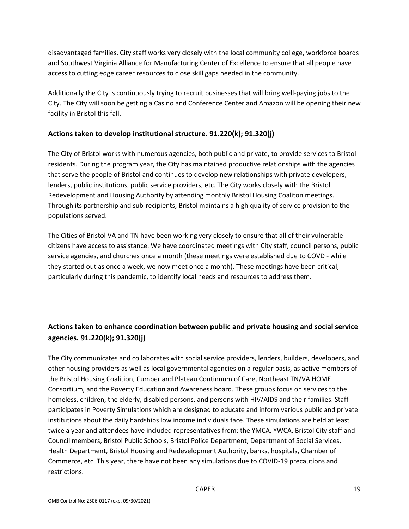disadvantaged families. City staff works very closely with the local community college, workforce boards and Southwest Virginia Alliance for Manufacturing Center of Excellence to ensure that all people have access to cutting edge career resources to close skill gaps needed in the community.

Additionally the City is continuously trying to recruit businesses that will bring well-paying jobs to the City. The City will soon be getting a Casino and Conference Center and Amazon will be opening their new facility in Bristol this fall.

#### **Actions taken to develop institutional structure. 91.220(k); 91.320(j)**

The City of Bristol works with numerous agencies, both public and private, to provide services to Bristol residents. During the program year, the City has maintained productive relationships with the agencies that serve the people of Bristol and continues to develop new relationships with private developers, lenders, public institutions, public service providers, etc. The City works closely with the Bristol Redevelopment and Housing Authority by attending monthly Bristol Housing Coaliton meetings. Through its partnership and sub-recipients, Bristol maintains a high quality of service provision to the populations served.

The Cities of Bristol VA and TN have been working very closely to ensure that all of their vulnerable citizens have access to assistance. We have coordinated meetings with City staff, council persons, public service agencies, and churches once a month (these meetings were established due to COVD - while they started out as once a week, we now meet once a month). These meetings have been critical, particularly during this pandemic, to identify local needs and resources to address them.

# **Actions taken to enhance coordination between public and private housing and social service agencies. 91.220(k); 91.320(j)**

The City communicates and collaborates with social service providers, lenders, builders, developers, and other housing providers as well as local governmental agencies on a regular basis, as active members of the Bristol Housing Coalition, Cumberland Plateau Continnum of Care, Northeast TN/VA HOME Consortium, and the Poverty Education and Awareness board. These groups focus on services to the homeless, children, the elderly, disabled persons, and persons with HIV/AIDS and their families. Staff participates in Poverty Simulations which are designed to educate and inform various public and private institutions about the daily hardships low income individuals face. These simulations are held at least twice a year and attendees have included representatives from: the YMCA, YWCA, Bristol City staff and Council members, Bristol Public Schools, Bristol Police Department, Department of Social Services, Health Department, Bristol Housing and Redevelopment Authority, banks, hospitals, Chamber of Commerce, etc. This year, there have not been any simulations due to COVID-19 precautions and restrictions.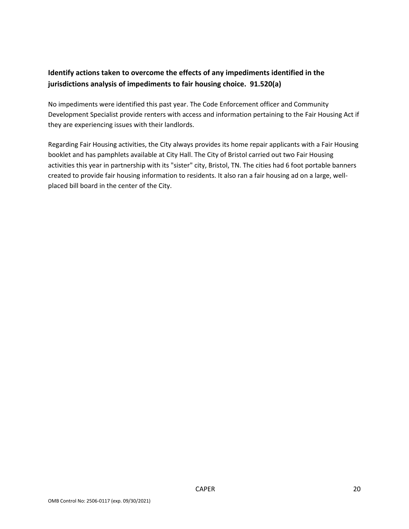# **Identify actions taken to overcome the effects of any impediments identified in the jurisdictions analysis of impediments to fair housing choice. 91.520(a)**

No impediments were identified this past year. The Code Enforcement officer and Community Development Specialist provide renters with access and information pertaining to the Fair Housing Act if they are experiencing issues with their landlords.

Regarding Fair Housing activities, the City always provides its home repair applicants with a Fair Housing booklet and has pamphlets available at City Hall. The City of Bristol carried out two Fair Housing activities this year in partnership with its "sister" city, Bristol, TN. The cities had 6 foot portable banners created to provide fair housing information to residents. It also ran a fair housing ad on a large, wellplaced bill board in the center of the City.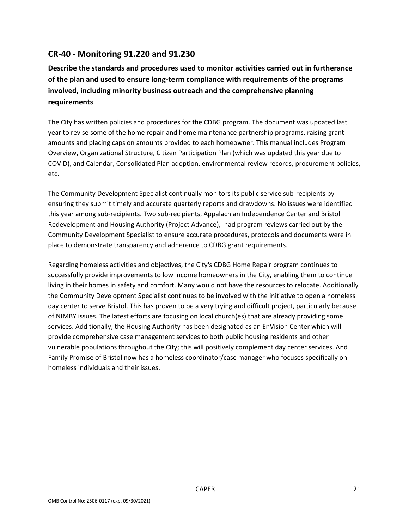# **CR-40 - Monitoring 91.220 and 91.230**

**Describe the standards and procedures used to monitor activities carried out in furtherance of the plan and used to ensure long-term compliance with requirements of the programs involved, including minority business outreach and the comprehensive planning requirements**

The City has written policies and procedures for the CDBG program. The document was updated last year to revise some of the home repair and home maintenance partnership programs, raising grant amounts and placing caps on amounts provided to each homeowner. This manual includes Program Overview, Organizational Structure, Citizen Participation Plan (which was updated this year due to COVID), and Calendar, Consolidated Plan adoption, environmental review records, procurement policies, etc.

The Community Development Specialist continually monitors its public service sub-recipients by ensuring they submit timely and accurate quarterly reports and drawdowns. No issues were identified this year among sub-recipients. Two sub-recipients, Appalachian Independence Center and Bristol Redevelopment and Housing Authority (Project Advance), had program reviews carried out by the Community Development Specialist to ensure accurate procedures, protocols and documents were in place to demonstrate transparency and adherence to CDBG grant requirements.

Regarding homeless activities and objectives, the City's CDBG Home Repair program continues to successfully provide improvements to low income homeowners in the City, enabling them to continue living in their homes in safety and comfort. Many would not have the resources to relocate. Additionally the Community Development Specialist continues to be involved with the initiative to open a homeless day center to serve Bristol. This has proven to be a very trying and difficult project, particularly because of NIMBY issues. The latest efforts are focusing on local church(es) that are already providing some services. Additionally, the Housing Authority has been designated as an EnVision Center which will provide comprehensive case management services to both public housing residents and other vulnerable populations throughout the City; this will positively complement day center services. And Family Promise of Bristol now has a homeless coordinator/case manager who focuses specifically on homeless individuals and their issues.